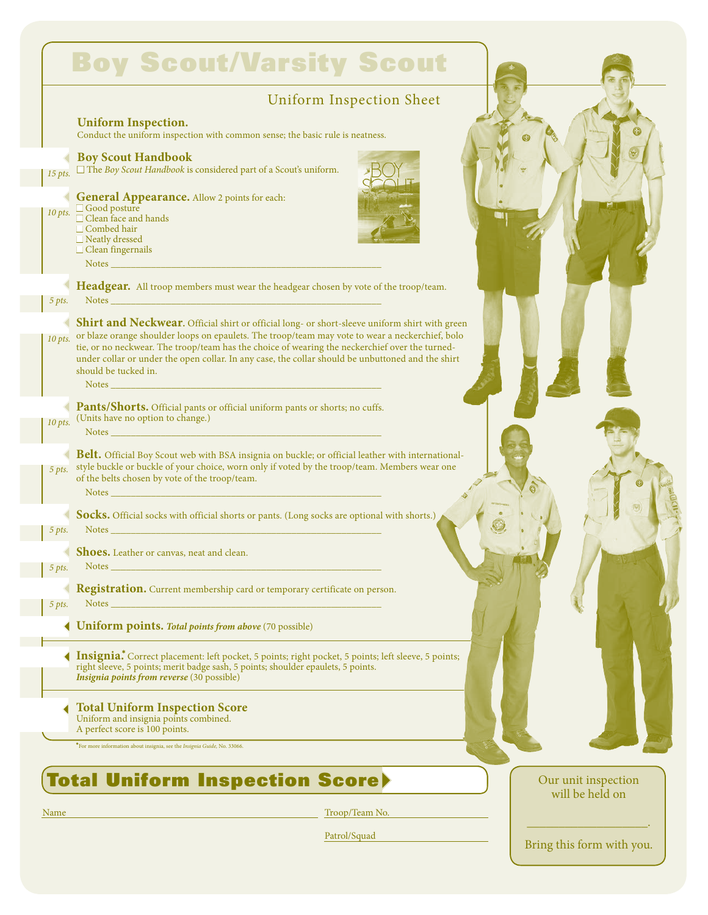|           | <b>Uniform Inspection Sheet</b>                                                                                                                                                                                                                                                                                                                                                                                                                                                                                                                                                                                                                                          |  |
|-----------|--------------------------------------------------------------------------------------------------------------------------------------------------------------------------------------------------------------------------------------------------------------------------------------------------------------------------------------------------------------------------------------------------------------------------------------------------------------------------------------------------------------------------------------------------------------------------------------------------------------------------------------------------------------------------|--|
|           | <b>Uniform Inspection.</b><br>Conduct the uniform inspection with common sense; the basic rule is neatness.                                                                                                                                                                                                                                                                                                                                                                                                                                                                                                                                                              |  |
| $15$ pts. | <b>Boy Scout Handbook</b><br>$\Box$ The Boy Scout Handbook is considered part of a Scout's uniform.                                                                                                                                                                                                                                                                                                                                                                                                                                                                                                                                                                      |  |
| $10$ pts. | General Appearance. Allow 2 points for each:<br>Good posture<br>$\Box$ Clean face and hands<br>$\Box$ Combed hair<br>□ Neatly dressed<br>$\Box$ Clean fingernails<br>Notes $\overline{\phantom{a}}$                                                                                                                                                                                                                                                                                                                                                                                                                                                                      |  |
| 5 pts.    | Headgear. All troop members must wear the headgear chosen by vote of the troop/team.<br>Notes and the contract of the contract of the contract of the contract of the contract of the contract of the                                                                                                                                                                                                                                                                                                                                                                                                                                                                    |  |
| $10$ pts. | <b>Shirt and Neckwear.</b> Official shirt or official long- or short-sleeve uniform shirt with green<br>or blaze orange shoulder loops on epaulets. The troop/team may vote to wear a neckerchief, bolo<br>tie, or no neckwear. The troop/team has the choice of wearing the neckerchief over the turned-<br>under collar or under the open collar. In any case, the collar should be unbuttoned and the shirt<br>should be tucked in.<br>Notes Notes and the second contract of the second contract of the second contract of the second contract of the second contract of the second contract of the second contract of the second contract of the second contract of |  |
| $10$ pts. | Pants/Shorts. Official pants or official uniform pants or shorts; no cuffs.<br>(Units have no option to change.)<br>Notes and the contract of the contract of the contract of the contract of the contract of the contract of the                                                                                                                                                                                                                                                                                                                                                                                                                                        |  |
| 5 pts.    | <b>Belt.</b> Official Boy Scout web with BSA insignia on buckle; or official leather with international-<br>style buckle or buckle of your choice, worn only if voted by the troop/team. Members wear one<br>of the belts chosen by vote of the troop/team.<br>Notes $\overline{\phantom{a}}$                                                                                                                                                                                                                                                                                                                                                                            |  |
| 5 pts.    | Socks. Official socks with official shorts or pants. (Long socks are optional with shorts.)<br>Notes and the contract of the contract of the contract of the contract of the contract of the contract of the                                                                                                                                                                                                                                                                                                                                                                                                                                                             |  |
| 5 pts.    | Shoes. Leather or canvas, neat and clean.<br><b>Notes</b>                                                                                                                                                                                                                                                                                                                                                                                                                                                                                                                                                                                                                |  |
| 5 pts.    | <b>Registration.</b> Current membership card or temporary certificate on person.<br>Notes                                                                                                                                                                                                                                                                                                                                                                                                                                                                                                                                                                                |  |
|           | <b>Uniform points. Total points from above (70 possible)</b>                                                                                                                                                                                                                                                                                                                                                                                                                                                                                                                                                                                                             |  |
|           | <b>Insignia.</b> Correct placement: left pocket, 5 points; right pocket, 5 points; left sleeve, 5 points;<br>right sleeve, 5 points; merit badge sash, 5 points; shoulder epaulets, 5 points.<br><i>Insignia points from reverse</i> (30 possible)                                                                                                                                                                                                                                                                                                                                                                                                                       |  |
|           | <b>Total Uniform Inspection Score</b><br>Uniform and insignia points combined.<br>A perfect score is 100 points.                                                                                                                                                                                                                                                                                                                                                                                                                                                                                                                                                         |  |
|           | *For more information about insignia, see the Insignia Guide, No. 33066.                                                                                                                                                                                                                                                                                                                                                                                                                                                                                                                                                                                                 |  |
|           |                                                                                                                                                                                                                                                                                                                                                                                                                                                                                                                                                                                                                                                                          |  |

Patrol/Squad

 $\_$ Bring this form with you.